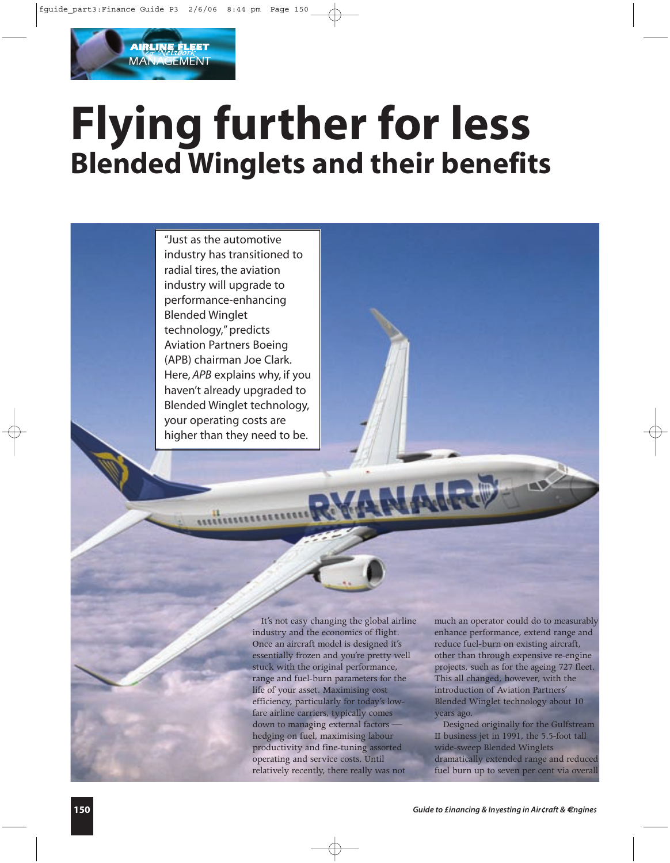# **Flying further for less Blended Winglets and their benefits**

"Just as the automotive industry has transitioned to radial tires, the aviation industry will upgrade to performance-enhancing Blended Winglet technology," predicts Aviation Partners Boeing (APB) chairman Joe Clark. Here, *APB* explains why, if you haven't already upgraded to Blended Winglet technology, your operating costs are higher than they need to be.

**AIRLINE FLEET MANAGEMENT** 

> It's not easy changing the global airline industry and the economics of flight. Once an aircraft model is designed it's essentially frozen and you're pretty well stuck with the original performance, range and fuel-burn parameters for the life of your asset. Maximising cost efficiency, particularly for today's lowfare airline carriers, typically comes down to managing external factors hedging on fuel, maximising labour productivity and fine-tuning assorted operating and service costs. Until relatively recently, there really was not

much an operator could do to measurably enhance performance, extend range and reduce fuel-burn on existing aircraft, other than through expensive re-engine projects, such as for the ageing 727 fleet. This all changed, however, with the introduction of Aviation Partners' Blended Winglet technology about 10 years ago.

Designed originally for the Gulfstream II business jet in 1991, the 5.5-foot tall wide-sweep Blended Winglets dramatically extended range and reduced fuel burn up to seven per cent via overall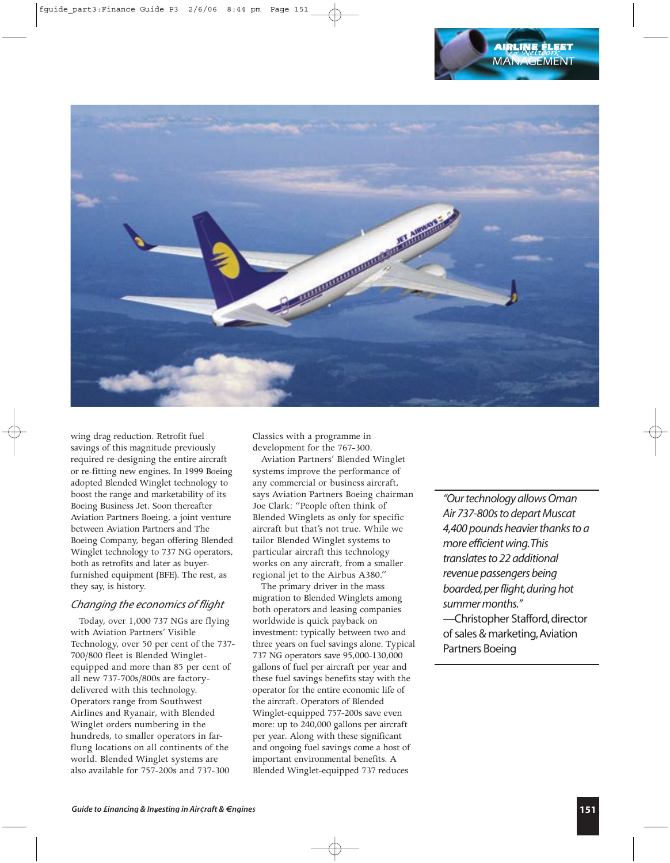

wing drag reduction. Retrofit fuel savings of this magnitude previously required re-designing the entire aircraft or re-fitting new engines. In 1999 Boeing adopted Blended Winglet technology to boost the range and marketability of its Boeing Business Jet. Soon thereafter Aviation Partners Boeing, a joint venture between Aviation Partners and The Boeing Company, began offering Blended Winglet technology to 737 NG operators, both as retrofits and later as buyerfurnished equipment (BFE). The rest, as they say, is history.

### *Changing the economics of flight*

Today, over 1,000 737 NGs are flying with Aviation Partners' Visible Technology, over 50 per cent of the 737- 700/800 fleet is Blended Wingletequipped and more than 85 per cent of all new 737-700s/800s are factorydelivered with this technology. Operators range from Southwest Airlines and Ryanair, with Blended Winglet orders numbering in the hundreds, to smaller operators in farflung locations on all continents of the world. Blended Winglet systems are also available for 757-200s and 737-300

Classics with a programme in development for the 767-300.

Aviation Partners' Blended Winglet systems improve the performance of any commercial or business aircraft, says Aviation Partners Boeing chairman Joe Clark: "People often think of Blended Winglets as only for specific aircraft but that's not true. While we tailor Blended Winglet systems to particular aircraft this technology works on any aircraft, from a smaller regional jet to the Airbus A380."

The primary driver in the mass migration to Blended Winglets among both operators and leasing companies worldwide is quick payback on investment: typically between two and three years on fuel savings alone. Typical 737 NG operators save 95,000-130,000 gallons of fuel per aircraft per year and these fuel savings benefits stay with the operator for the entire economic life of the aircraft. Operators of Blended Winglet-equipped 757-200s save even more: up to 240,000 gallons per aircraft per year. Along with these significant and ongoing fuel savings come a host of important environmental benefits. A Blended Winglet-equipped 737 reduces

*"Our technology allows Oman Air 737-800s to depart Muscat 4,400 pounds heavier thanks to a more efficient wing.This translates to 22 additional revenue passengers being boarded,per flight,during hot summer months."* -Christopher Stafford, director

of sales & marketing,Aviation Partners Boeing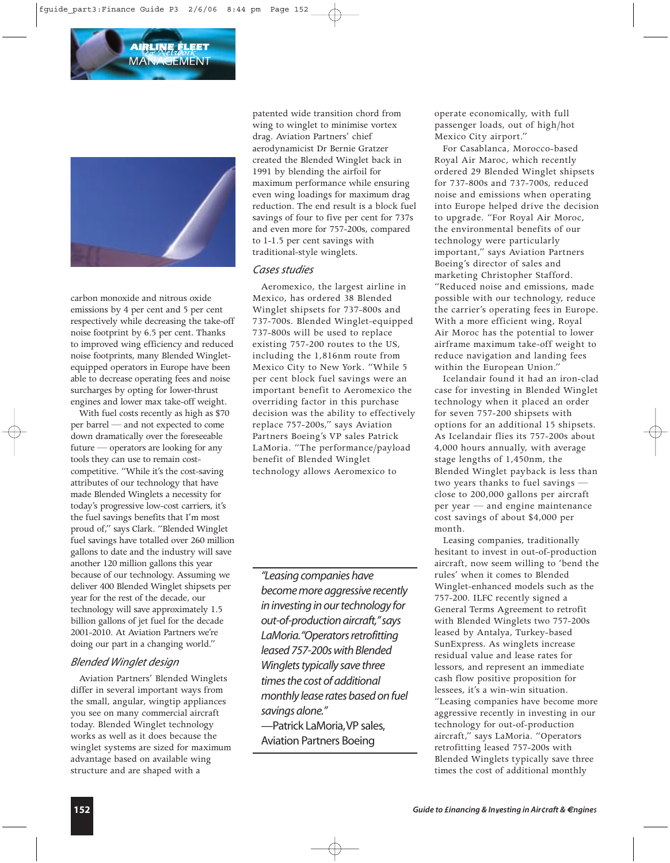

carbon monoxide and nitrous oxide emissions by 4 per cent and 5 per cent respectively while decreasing the take-off noise footprint by 6.5 per cent. Thanks to improved wing efficiency and reduced noise footprints, many Blended Wingletequipped operators in Europe have been able to decrease operating fees and noise surcharges by opting for lower-thrust engines and lower max take-off weight.

With fuel costs recently as high as \$70 per barrel — and not expected to come down dramatically over the foreseeable future — operators are looking for any tools they can use to remain costcompetitive. "While it's the cost-saving attributes of our technology that have made Blended Winglets a necessity for today's progressive low-cost carriers, it's the fuel savings benefits that I'm most proud of," says Clark. "Blended Winglet fuel savings have totalled over 260 million gallons to date and the industry will save another 120 million gallons this year because of our technology. Assuming we deliver 400 Blended Winglet shipsets per year for the rest of the decade, our technology will save approximately 1.5 billion gallons of jet fuel for the decade 2001-2010. At Aviation Partners we're doing our part in a changing world."

## *Blended Winglet design*

Aviation Partners' Blended Winglets differ in several important ways from the small, angular, wingtip appliances you see on many commercial aircraft today. Blended Winglet technology works as well as it does because the winglet systems are sized for maximum advantage based on available wing structure and are shaped with a

patented wide transition chord from wing to winglet to minimise vortex drag. Aviation Partners' chief aerodynamicist Dr Bernie Gratzer created the Blended Winglet back in 1991 by blending the airfoil for maximum performance while ensuring even wing loadings for maximum drag reduction. The end result is a block fuel savings of four to five per cent for 737s and even more for 757-200s, compared to 1-1.5 per cent savings with traditional-style winglets.

## *Cases studies*

Aeromexico, the largest airline in Mexico, has ordered 38 Blended Winglet shipsets for 737-800s and 737-700s. Blended Winglet-equipped 737-800s will be used to replace existing 757-200 routes to the US, including the 1,816nm route from Mexico City to New York. "While 5 per cent block fuel savings were an important benefit to Aeromexico the overriding factor in this purchase decision was the ability to effectively replace 757-200s," says Aviation Partners Boeing's VP sales Patrick LaMoria. "The performance/payload benefit of Blended Winglet technology allows Aeromexico to

*"Leasing companies have become more aggressive recently in investing in our technology for out-of-production aircraft,"says LaMoria."Operators retrofitting leased 757-200s with Blended Winglets typically save three times the cost of additional monthly lease rates based on fuel savings alone."* —Patrick LaMoria,VP sales,

Aviation Partners Boeing

operate economically, with full passenger loads, out of high/hot Mexico City airport."

For Casablanca, Morocco-based Royal Air Maroc, which recently ordered 29 Blended Winglet shipsets for 737-800s and 737-700s, reduced noise and emissions when operating into Europe helped drive the decision to upgrade. "For Royal Air Moroc, the environmental benefits of our technology were particularly important," says Aviation Partners Boeing's director of sales and marketing Christopher Stafford. "Reduced noise and emissions, made possible with our technology, reduce the carrier's operating fees in Europe. With a more efficient wing, Royal Air Moroc has the potential to lower airframe maximum take-off weight to reduce navigation and landing fees within the European Union."

Icelandair found it had an iron-clad case for investing in Blended Winglet technology when it placed an order for seven 757-200 shipsets with options for an additional 15 shipsets. As Icelandair flies its 757-200s about 4,000 hours annually, with average stage lengths of 1,450nm, the Blended Winglet payback is less than two years thanks to fuel savings close to 200,000 gallons per aircraft per year — and engine maintenance cost savings of about \$4,000 per month.

Leasing companies, traditionally hesitant to invest in out-of-production aircraft, now seem willing to 'bend the rules' when it comes to Blended Winglet-enhanced models such as the 757-200. ILFC recently signed a General Terms Agreement to retrofit with Blended Winglets two 757-200s leased by Antalya, Turkey-based SunExpress. As winglets increase residual value and lease rates for lessors, and represent an immediate cash flow positive proposition for lessees, it's a win-win situation. "Leasing companies have become more aggressive recently in investing in our technology for out-of-production aircraft," says LaMoria. "Operators retrofitting leased 757-200s with Blended Winglets typically save three times the cost of additional monthly